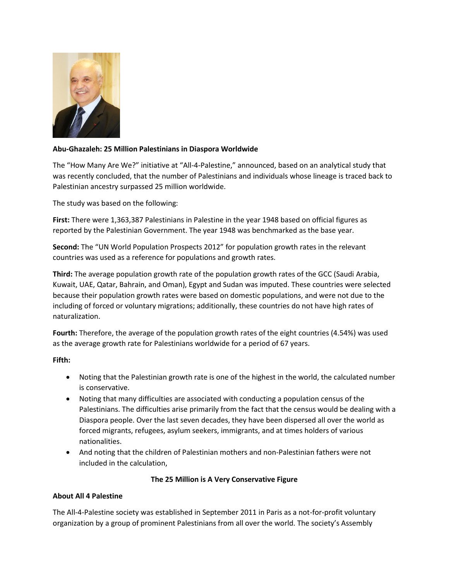

## **Abu-Ghazaleh: 25 Million Palestinians in Diaspora Worldwide**

The "How Many Are We?" initiative at "All-4-Palestine," announced, based on an analytical study that was recently concluded, that the number of Palestinians and individuals whose lineage is traced back to Palestinian ancestry surpassed 25 million worldwide.

The study was based on the following:

**First:** There were 1,363,387 Palestinians in Palestine in the year 1948 based on official figures as reported by the Palestinian Government. The year 1948 was benchmarked as the base year.

**Second:** The "UN World Population Prospects 2012" for population growth rates in the relevant countries was used as a reference for populations and growth rates.

**Third:** The average population growth rate of the population growth rates of the GCC (Saudi Arabia, Kuwait, UAE, Qatar, Bahrain, and Oman), Egypt and Sudan was imputed. These countries were selected because their population growth rates were based on domestic populations, and were not due to the including of forced or voluntary migrations; additionally, these countries do not have high rates of naturalization.

**Fourth:** Therefore, the average of the population growth rates of the eight countries (4.54%) was used as the average growth rate for Palestinians worldwide for a period of 67 years.

**Fifth:**

- Noting that the Palestinian growth rate is one of the highest in the world, the calculated number is conservative.
- Noting that many difficulties are associated with conducting a population census of the Palestinians. The difficulties arise primarily from the fact that the census would be dealing with a Diaspora people. Over the last seven decades, they have been dispersed all over the world as forced migrants, refugees, asylum seekers, immigrants, and at times holders of various nationalities.
- And noting that the children of Palestinian mothers and non-Palestinian fathers were not included in the calculation,

## **The 25 Million is A Very Conservative Figure**

## **About All 4 Palestine**

The All-4-Palestine society was established in September 2011 in Paris as a not-for-profit voluntary organization by a group of prominent Palestinians from all over the world. The society's Assembly